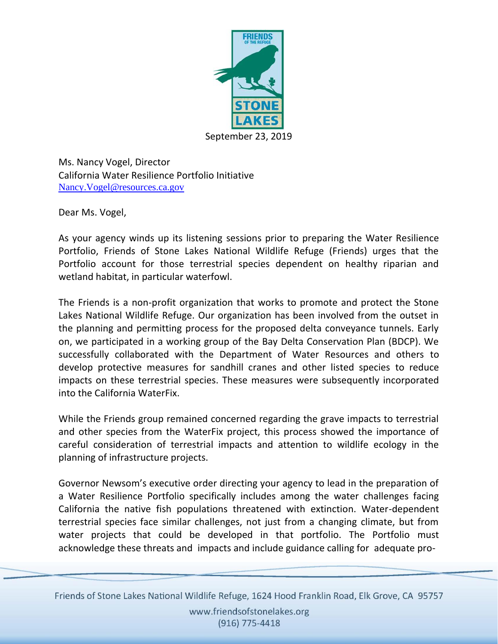

Ms. Nancy Vogel, Director California Water Resilience Portfolio Initiative [Nancy.Vogel@resources.ca.gov](mailto:Nancy.Vogel@resources.ca.gov)

Dear Ms. Vogel,

As your agency winds up its listening sessions prior to preparing the Water Resilience Portfolio, Friends of Stone Lakes National Wildlife Refuge (Friends) urges that the Portfolio account for those terrestrial species dependent on healthy riparian and wetland habitat, in particular waterfowl.

The Friends is a non-profit organization that works to promote and protect the Stone Lakes National Wildlife Refuge. Our organization has been involved from the outset in the planning and permitting process for the proposed delta conveyance tunnels. Early on, we participated in a working group of the Bay Delta Conservation Plan (BDCP). We successfully collaborated with the Department of Water Resources and others to develop protective measures for sandhill cranes and other listed species to reduce impacts on these terrestrial species. These measures were subsequently incorporated into the California WaterFix.

While the Friends group remained concerned regarding the grave impacts to terrestrial and other species from the WaterFix project, this process showed the importance of careful consideration of terrestrial impacts and attention to wildlife ecology in the planning of infrastructure projects.

Governor Newsom's executive order directing your agency to lead in the preparation of a Water Resilience Portfolio specifically includes among the water challenges facing California the native fish populations threatened with extinction. Water-dependent terrestrial species face similar challenges, not just from a changing climate, but from water projects that could be developed in that portfolio. The Portfolio must acknowledge these threats and impacts and include guidance calling for adequate pro